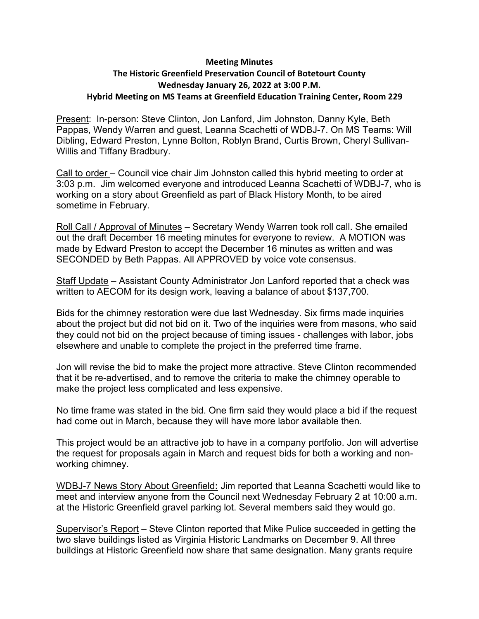## **Meeting Minutes**

## **The Historic Greenfield Preservation Council of Botetourt County Wednesday January 26, 2022 at 3:00 P.M. Hybrid Meeting on MS Teams at Greenfield Education Training Center, Room 229**

Present: In-person: Steve Clinton, Jon Lanford, Jim Johnston, Danny Kyle, Beth Pappas, Wendy Warren and guest, Leanna Scachetti of WDBJ-7. On MS Teams: Will Dibling, Edward Preston, Lynne Bolton, Roblyn Brand, Curtis Brown, Cheryl Sullivan-Willis and Tiffany Bradbury.

Call to order – Council vice chair Jim Johnston called this hybrid meeting to order at 3:03 p.m. Jim welcomed everyone and introduced Leanna Scachetti of WDBJ-7, who is working on a story about Greenfield as part of Black History Month, to be aired sometime in February.

Roll Call / Approval of Minutes – Secretary Wendy Warren took roll call. She emailed out the draft December 16 meeting minutes for everyone to review. A MOTION was made by Edward Preston to accept the December 16 minutes as written and was SECONDED by Beth Pappas. All APPROVED by voice vote consensus.

Staff Update – Assistant County Administrator Jon Lanford reported that a check was written to AECOM for its design work, leaving a balance of about \$137,700.

Bids for the chimney restoration were due last Wednesday. Six firms made inquiries about the project but did not bid on it. Two of the inquiries were from masons, who said they could not bid on the project because of timing issues - challenges with labor, jobs elsewhere and unable to complete the project in the preferred time frame.

Jon will revise the bid to make the project more attractive. Steve Clinton recommended that it be re-advertised, and to remove the criteria to make the chimney operable to make the project less complicated and less expensive.

No time frame was stated in the bid. One firm said they would place a bid if the request had come out in March, because they will have more labor available then.

This project would be an attractive job to have in a company portfolio. Jon will advertise the request for proposals again in March and request bids for both a working and nonworking chimney.

WDBJ-7 News Story About Greenfield**:** Jim reported that Leanna Scachetti would like to meet and interview anyone from the Council next Wednesday February 2 at 10:00 a.m. at the Historic Greenfield gravel parking lot. Several members said they would go.

Supervisor's Report – Steve Clinton reported that Mike Pulice succeeded in getting the two slave buildings listed as Virginia Historic Landmarks on December 9. All three buildings at Historic Greenfield now share that same designation. Many grants require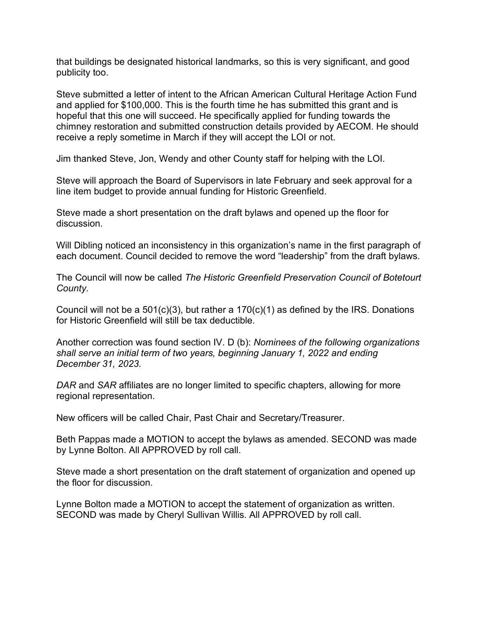that buildings be designated historical landmarks, so this is very significant, and good publicity too.

Steve submitted a letter of intent to the African American Cultural Heritage Action Fund and applied for \$100,000. This is the fourth time he has submitted this grant and is hopeful that this one will succeed. He specifically applied for funding towards the chimney restoration and submitted construction details provided by AECOM. He should receive a reply sometime in March if they will accept the LOI or not.

Jim thanked Steve, Jon, Wendy and other County staff for helping with the LOI.

Steve will approach the Board of Supervisors in late February and seek approval for a line item budget to provide annual funding for Historic Greenfield.

Steve made a short presentation on the draft bylaws and opened up the floor for discussion.

Will Dibling noticed an inconsistency in this organization's name in the first paragraph of each document. Council decided to remove the word "leadership" from the draft bylaws.

The Council will now be called *The Historic Greenfield Preservation Council of Botetourt County.*

Council will not be a  $501(c)(3)$ , but rather a  $170(c)(1)$  as defined by the IRS. Donations for Historic Greenfield will still be tax deductible.

Another correction was found section IV. D (b): *Nominees of the following organizations shall serve an initial term of two years, beginning January 1, 2022 and ending December 31, 2023.*

*DAR* and *SAR* affiliates are no longer limited to specific chapters, allowing for more regional representation.

New officers will be called Chair, Past Chair and Secretary/Treasurer.

Beth Pappas made a MOTION to accept the bylaws as amended. SECOND was made by Lynne Bolton. All APPROVED by roll call.

Steve made a short presentation on the draft statement of organization and opened up the floor for discussion.

Lynne Bolton made a MOTION to accept the statement of organization as written. SECOND was made by Cheryl Sullivan Willis. All APPROVED by roll call.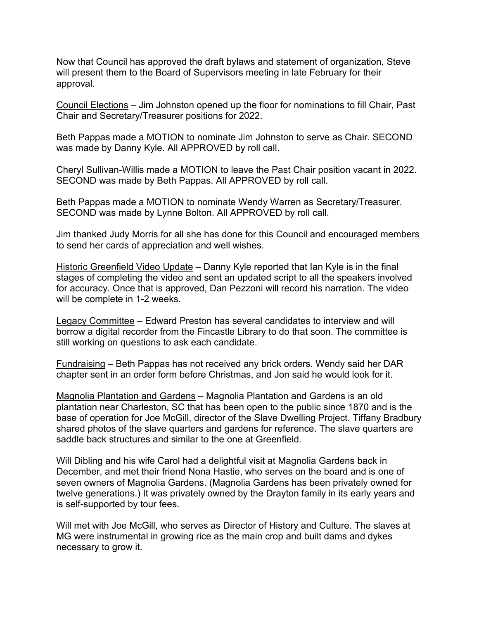Now that Council has approved the draft bylaws and statement of organization, Steve will present them to the Board of Supervisors meeting in late February for their approval.

Council Elections – Jim Johnston opened up the floor for nominations to fill Chair, Past Chair and Secretary/Treasurer positions for 2022.

Beth Pappas made a MOTION to nominate Jim Johnston to serve as Chair. SECOND was made by Danny Kyle. All APPROVED by roll call.

Cheryl Sullivan-Willis made a MOTION to leave the Past Chair position vacant in 2022. SECOND was made by Beth Pappas. All APPROVED by roll call.

Beth Pappas made a MOTION to nominate Wendy Warren as Secretary/Treasurer. SECOND was made by Lynne Bolton. All APPROVED by roll call.

Jim thanked Judy Morris for all she has done for this Council and encouraged members to send her cards of appreciation and well wishes.

Historic Greenfield Video Update – Danny Kyle reported that Ian Kyle is in the final stages of completing the video and sent an updated script to all the speakers involved for accuracy. Once that is approved, Dan Pezzoni will record his narration. The video will be complete in 1-2 weeks.

Legacy Committee – Edward Preston has several candidates to interview and will borrow a digital recorder from the Fincastle Library to do that soon. The committee is still working on questions to ask each candidate.

Fundraising – Beth Pappas has not received any brick orders. Wendy said her DAR chapter sent in an order form before Christmas, and Jon said he would look for it.

Magnolia Plantation and Gardens – Magnolia Plantation and Gardens is an old plantation near Charleston, SC that has been open to the public since 1870 and is the base of operation for Joe McGill, director of the Slave Dwelling Project. Tiffany Bradbury shared photos of the slave quarters and gardens for reference. The slave quarters are saddle back structures and similar to the one at Greenfield.

Will Dibling and his wife Carol had a delightful visit at Magnolia Gardens back in December, and met their friend Nona Hastie, who serves on the board and is one of seven owners of Magnolia Gardens. (Magnolia Gardens has been privately owned for twelve generations.) It was privately owned by the Drayton family in its early years and is self-supported by tour fees.

Will met with Joe McGill, who serves as Director of History and Culture. The slaves at MG were instrumental in growing rice as the main crop and built dams and dykes necessary to grow it.